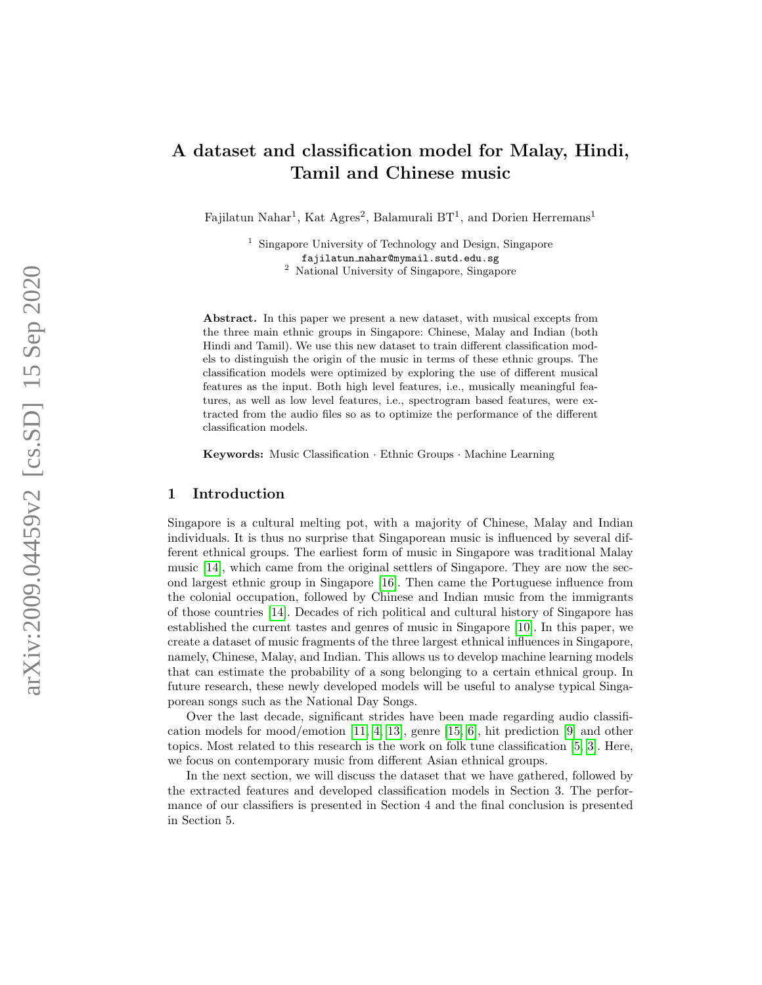# A dataset and classification model for Malay, Hindi, Tamil and Chinese music

Fajilatun Nahar<sup>1</sup>, Kat Agres<sup>2</sup>, Balamurali BT<sup>1</sup>, and Dorien Herremans<sup>1</sup>

<sup>1</sup> Singapore University of Technology and Design, Singapore

fajilatun nahar@mymail.sutd.edu.sg

<sup>2</sup> National University of Singapore, Singapore

Abstract. In this paper we present a new dataset, with musical excepts from the three main ethnic groups in Singapore: Chinese, Malay and Indian (both Hindi and Tamil). We use this new dataset to train different classification models to distinguish the origin of the music in terms of these ethnic groups. The classification models were optimized by exploring the use of different musical features as the input. Both high level features, i.e., musically meaningful features, as well as low level features, i.e., spectrogram based features, were extracted from the audio files so as to optimize the performance of the different classification models.

Keywords: Music Classification · Ethnic Groups · Machine Learning

#### 1 Introduction

Singapore is a cultural melting pot, with a majority of Chinese, Malay and Indian individuals. It is thus no surprise that Singaporean music is influenced by several different ethnical groups. The earliest form of music in Singapore was traditional Malay music [\[14\]](#page-3-0), which came from the original settlers of Singapore. They are now the second largest ethnic group in Singapore [\[16\]](#page-3-1). Then came the Portuguese influence from the colonial occupation, followed by Chinese and Indian music from the immigrants of those countries [\[14\]](#page-3-0). Decades of rich political and cultural history of Singapore has established the current tastes and genres of music in Singapore [\[10\]](#page-3-2). In this paper, we create a dataset of music fragments of the three largest ethnical influences in Singapore, namely, Chinese, Malay, and Indian. This allows us to develop machine learning models that can estimate the probability of a song belonging to a certain ethnical group. In future research, these newly developed models will be useful to analyse typical Singaporean songs such as the National Day Songs.

Over the last decade, significant strides have been made regarding audio classification models for mood/emotion [\[11,](#page-3-3) [4,](#page-3-4) [13\]](#page-3-5), genre [\[15,](#page-3-6) [6\]](#page-3-7), hit prediction [\[9\]](#page-3-8) and other topics. Most related to this research is the work on folk tune classification [\[5,](#page-3-9) [3\]](#page-3-10). Here, we focus on contemporary music from different Asian ethnical groups.

In the next section, we will discuss the dataset that we have gathered, followed by the extracted features and developed classification models in Section 3. The performance of our classifiers is presented in Section 4 and the final conclusion is presented in Section 5.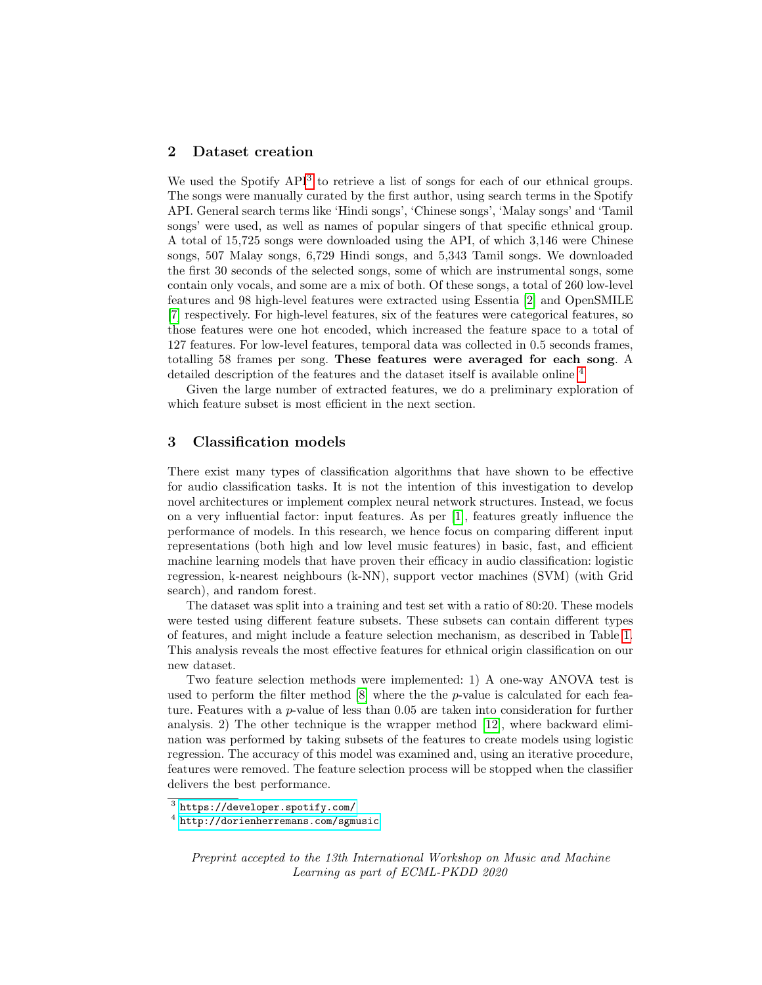## 2 Dataset creation

We used the Spotify API<sup>[3](#page-1-0)</sup> to retrieve a list of songs for each of our ethnical groups. The songs were manually curated by the first author, using search terms in the Spotify API. General search terms like 'Hindi songs', 'Chinese songs', 'Malay songs' and 'Tamil songs' were used, as well as names of popular singers of that specific ethnical group. A total of 15,725 songs were downloaded using the API, of which 3,146 were Chinese songs, 507 Malay songs, 6,729 Hindi songs, and 5,343 Tamil songs. We downloaded the first 30 seconds of the selected songs, some of which are instrumental songs, some contain only vocals, and some are a mix of both. Of these songs, a total of 260 low-level features and 98 high-level features were extracted using Essentia [\[2\]](#page-3-11) and OpenSMILE [\[7\]](#page-3-12) respectively. For high-level features, six of the features were categorical features, so those features were one hot encoded, which increased the feature space to a total of 127 features. For low-level features, temporal data was collected in 0.5 seconds frames, totalling 58 frames per song. These features were averaged for each song. A detailed description of the features and the dataset itself is available online [4](#page-1-1)

Given the large number of extracted features, we do a preliminary exploration of which feature subset is most efficient in the next section.

#### 3 Classification models

There exist many types of classification algorithms that have shown to be effective for audio classification tasks. It is not the intention of this investigation to develop novel architectures or implement complex neural network structures. Instead, we focus on a very influential factor: input features. As per [\[1\]](#page-3-13), features greatly influence the performance of models. In this research, we hence focus on comparing different input representations (both high and low level music features) in basic, fast, and efficient machine learning models that have proven their efficacy in audio classification: logistic regression, k-nearest neighbours (k-NN), support vector machines (SVM) (with Grid search), and random forest.

The dataset was split into a training and test set with a ratio of 80:20. These models were tested using different feature subsets. These subsets can contain different types of features, and might include a feature selection mechanism, as described in Table [1.](#page-2-0) This analysis reveals the most effective features for ethnical origin classification on our new dataset.

Two feature selection methods were implemented: 1) A one-way ANOVA test is used to perform the filter method  $[8]$  where the the p-value is calculated for each feature. Features with a  $p$ -value of less than 0.05 are taken into consideration for further analysis. 2) The other technique is the wrapper method [\[12\]](#page-3-15), where backward elimination was performed by taking subsets of the features to create models using logistic regression. The accuracy of this model was examined and, using an iterative procedure, features were removed. The feature selection process will be stopped when the classifier delivers the best performance.

Preprint accepted to the 13th International Workshop on Music and Machine Learning as part of ECML-PKDD 2020

<span id="page-1-0"></span> $^3$  <https://developer.spotify.com/>

<span id="page-1-1"></span><sup>4</sup> <http://dorienherremans.com/sgmusic>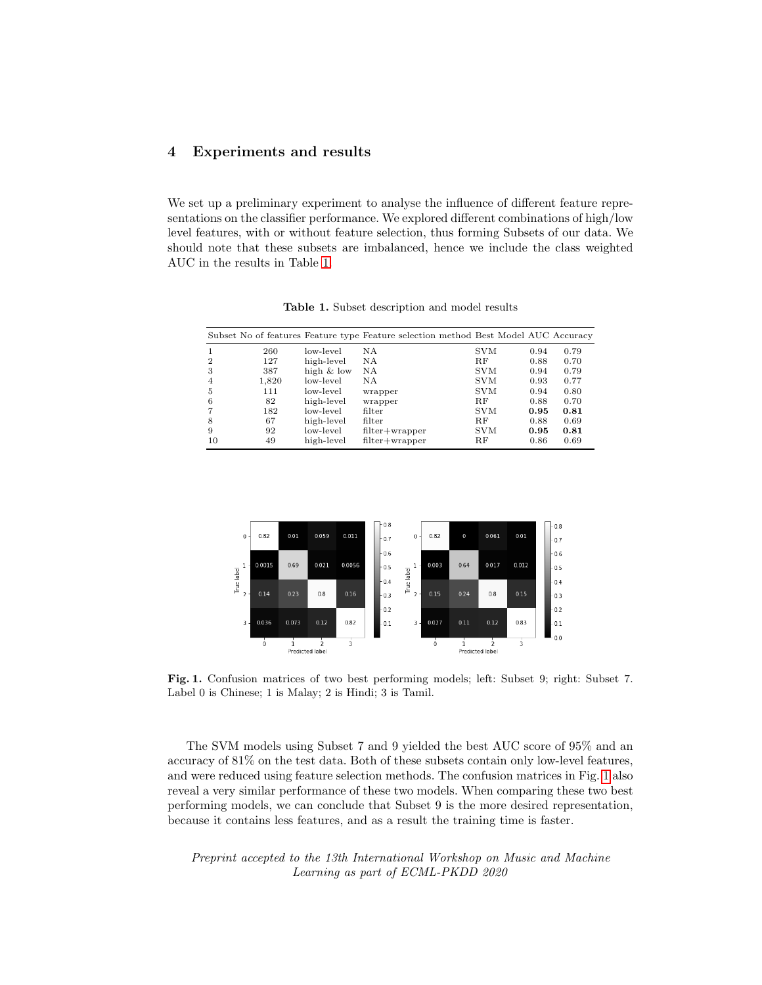## 4 Experiments and results

We set up a preliminary experiment to analyse the influence of different feature representations on the classifier performance. We explored different combinations of high/low level features, with or without feature selection, thus forming Subsets of our data. We should note that these subsets are imbalanced, hence we include the class weighted AUC in the results in Table [1.](#page-2-0)

|    |       |              | Subset No of features Feature type Feature selection method Best Model AUC Accuracy |             |      |      |
|----|-------|--------------|-------------------------------------------------------------------------------------|-------------|------|------|
|    | 260   | low-level    | N A                                                                                 | <b>SVM</b>  | 0.94 | 0.79 |
| 2  | 127   | high-level   | ΝA                                                                                  | $_{\rm RF}$ | 0.88 | 0.70 |
| 3  | 387   | high $&$ low | N A                                                                                 | <b>SVM</b>  | 0.94 | 0.79 |
| 4  | 1,820 | low-level    | ΝA                                                                                  | <b>SVM</b>  | 0.93 | 0.77 |
| 5  | 111   | low-level    | wrapper                                                                             | <b>SVM</b>  | 0.94 | 0.80 |
| 6  | 82    | high-level   | wrapper                                                                             | <b>RF</b>   | 0.88 | 0.70 |
|    | 182   | low-level    | filter                                                                              | <b>SVM</b>  | 0.95 | 0.81 |
| 8  | 67    | high-level   | filter                                                                              | $_{\rm RF}$ | 0.88 | 0.69 |
| 9  | 92    | low-level    | $filter + wrapper$                                                                  | <b>SVM</b>  | 0.95 | 0.81 |
| 10 | 49    | high-level   | $filter + wrapper$                                                                  | R.F         | 0.86 | 0.69 |

<span id="page-2-0"></span>Table 1. Subset description and model results



<span id="page-2-1"></span>Fig. 1. Confusion matrices of two best performing models; left: Subset 9; right: Subset 7. Label 0 is Chinese; 1 is Malay; 2 is Hindi; 3 is Tamil.

The SVM models using Subset 7 and 9 yielded the best AUC score of 95% and an accuracy of 81% on the test data. Both of these subsets contain only low-level features, and were reduced using feature selection methods. The confusion matrices in Fig. [1](#page-2-1) also reveal a very similar performance of these two models. When comparing these two best performing models, we can conclude that Subset 9 is the more desired representation, because it contains less features, and as a result the training time is faster.

Preprint accepted to the 13th International Workshop on Music and Machine Learning as part of ECML-PKDD 2020